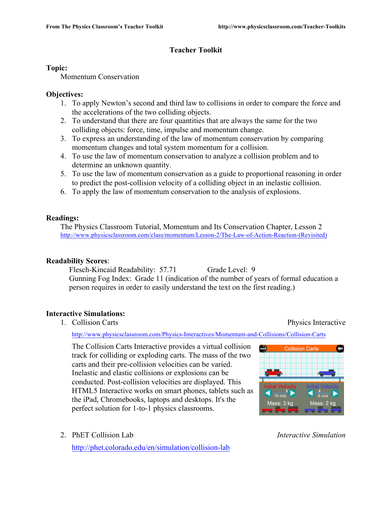# **Teacher Toolkit**

### **Topic:**

Momentum Conservation

# **Objectives:**

- 1. To apply Newton's second and third law to collisions in order to compare the force and the accelerations of the two colliding objects.
- 2. To understand that there are four quantities that are always the same for the two colliding objects: force, time, impulse and momentum change.
- 3. To express an understanding of the law of momentum conservation by comparing momentum changes and total system momentum for a collision.
- 4. To use the law of momentum conservation to analyze a collision problem and to determine an unknown quantity.
- 5. To use the law of momentum conservation as a guide to proportional reasoning in order to predict the post-collision velocity of a colliding object in an inelastic collision.
- 6. To apply the law of momentum conservation to the analysis of explosions.

# **Readings:**

The Physics Classroom Tutorial, Momentum and Its Conservation Chapter, Lesson 2 http://www.physicsclassroom.com/class/momentum/Lesson-2/The-Law-of-Action-Reaction-(Revisited)

# **Readability Scores**:

Flesch-Kincaid Readability: 57.71 Grade Level: 9 Gunning Fog Index: Grade 11 (indication of the number of years of formal education a person requires in order to easily understand the text on the first reading.)

# **Interactive Simulations:**

1. Collision Carts Physics Interactive

http://www.physicsclassroom.com/Physics-Interactives/Momentum-and-Collisions/Collision-Carts

The Collision Carts Interactive provides a virtual collision track for colliding or exploding carts. The mass of the two carts and their pre-collision velocities can be varied. Inelastic and elastic collisions or explosions can be conducted. Post-collision velocities are displayed. This HTML5 Interactive works on smart phones, tablets such as the iPad, Chromebooks, laptops and desktops. It's the perfect solution for 1-to-1 physics classrooms.

- **Collision Carts**
- 2. PhET Collision Lab *Interactive Simulation*

http://phet.colorado.edu/en/simulation/collision-lab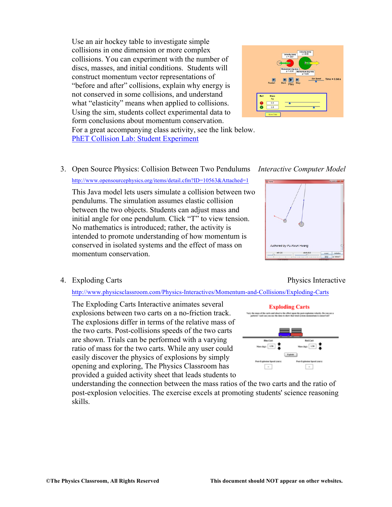Use an air hockey table to investigate simple collisions in one dimension or more complex collisions. You can experiment with the number of discs, masses, and initial conditions. Students will construct momentum vector representations of "before and after" collisions, explain why energy is not conserved in some collisions, and understand what "elasticity" means when applied to collisions. Using the sim, students collect experimental data to form conclusions about momentum conservation.



For a great accompanying class activity, see the link below. PhET Collision Lab: Student Experiment

3. Open Source Physics: Collision Between Two Pendulums *Interactive Computer Model* http://www.opensourcephysics.org/items/detail.cfm?ID=10563&Attached=1

This Java model lets users simulate a collision between two pendulums. The simulation assumes elastic collision between the two objects. Students can adjust mass and initial angle for one pendulum. Click "T" to view tension. No mathematics is introduced; rather, the activity is intended to promote understanding of how momentum is conserved in isolated systems and the effect of mass on momentum conservation.

#### 4. Exploding Carts Physics Interactive

http://www.physicsclassroom.com/Physics-Interactives/Momentum-and-Collisions/Exploding-Carts

The Exploding Carts Interactive animates several explosions between two carts on a no-friction track. The explosions differ in terms of the relative mass of the two carts. Post-collisions speeds of the two carts are shown. Trials can be performed with a varying ratio of mass for the two carts. While any user could easily discover the physics of explosions by simply opening and exploring, The Physics Classroom has provided a guided activity sheet that leads students to



understanding the connection between the mass ratios of the two carts and the ratio of post-explosion velocities. The exercise excels at promoting students' science reasoning skills.

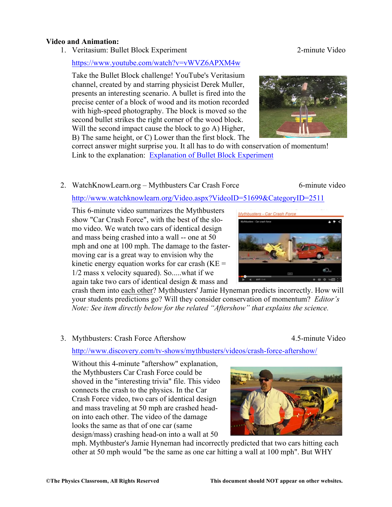#### **Video and Animation:**

1. Veritasium: Bullet Block Experiment 2-minute Video

#### https://www.youtube.com/watch?v=vWVZ6APXM4w

Take the Bullet Block challenge! YouTube's Veritasium channel, created by and starring physicist Derek Muller, presents an interesting scenario. A bullet is fired into the precise center of a block of wood and its motion recorded with high-speed photography. The block is moved so the second bullet strikes the right corner of the wood block. Will the second impact cause the block to go A) Higher, B) The same height, or C) Lower than the first block. The



correct answer might surprise you. It all has to do with conservation of momentum! Link to the explanation: Explanation of Bullet Block Experiment

# 2. WatchKnowLearn.org – Mythbusters Car Crash Force 6-minute video

http://www.watchknowlearn.org/Video.aspx?VideoID=51699&CategoryID=2511

This 6-minute video summarizes the Mythbusters show "Car Crash Force", with the best of the slomo video. We watch two cars of identical design and mass being crashed into a wall -- one at 50 mph and one at 100 mph. The damage to the fastermoving car is a great way to envision why the kinetic energy equation works for car crash  $(KE =$ 1/2 mass x velocity squared). So.....what if we again take two cars of identical design & mass and

crash them into each other? Mythbusters' Jamie Hyneman predicts incorrectly. How will your students predictions go? Will they consider conservation of momentum? *Editor's Note: See item directly below for the related "Aftershow" that explains the science.*

3. Mythbusters: Crash Force Aftershow 4.5-minute Video

http://www.discovery.com/tv-shows/mythbusters/videos/crash-force-aftershow/

Without this 4-minute "aftershow" explanation, the Mythbusters Car Crash Force could be shoved in the "interesting trivia" file. This video connects the crash to the physics. In the Car Crash Force video, two cars of identical design and mass traveling at 50 mph are crashed headon into each other. The video of the damage looks the same as that of one car (same design/mass) crashing head-on into a wall at 50



Mythhusters - Car Crash Force

mph. Mythbuster's Jamie Hyneman had incorrectly predicted that two cars hitting each other at 50 mph would "be the same as one car hitting a wall at 100 mph". But WHY



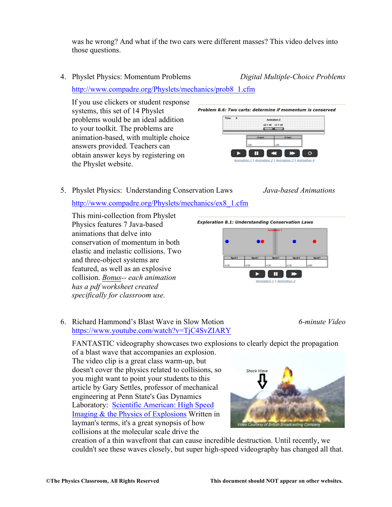was he wrong? And what if the two cars were different masses? This video delves into those questions.

4. Physlet Physics: Momentum Problems *Digital Multiple-Choice Problems*

http://www.compadre.org/Physlets/mechanics/prob8\_1.cfm

If you use clickers or student response systems, this set of 14 Physlet problems would be an ideal addition to your toolkit. The problems are animation-based, with multiple choice answers provided. Teachers can obtain answer keys by registering on the Physlet website.



5. Physlet Physics: Understanding Conservation Laws *Java-based Animations*

# http://www.compadre.org/Physlets/mechanics/ex8\_1.cfm

This mini-collection from Physlet Physics features 7 Java-based animations that delve into conservation of momentum in both elastic and inelastic collisions. Two and three-object systems are featured, as well as an explosive collision. *Bonus-- each animation has a pdf worksheet created specifically for classroom use.*

**Exploration 8.1: Understanding Conservation Laws** 



# 6. Richard Hammond's Blast Wave in Slow Motion *6-minute Video* https://www.youtube.com/watch?v=TjC4SvZIARY

FANTASTIC videography showcases two explosions to clearly depict the propagation

of a blast wave that accompanies an explosion. The video clip is a great class warm-up, but doesn't cover the physics related to collisions, so you might want to point your students to this article by Gary Settles, professor of mechanical engineering at Penn State's Gas Dynamics Laboratory: Scientific American: High Speed Imaging & the Physics of Explosions Written in layman's terms, it's a great synopsis of how collisions at the molecular scale drive the



creation of a thin wavefront that can cause incredible destruction. Until recently, we couldn't see these waves closely, but super high-speed videography has changed all that.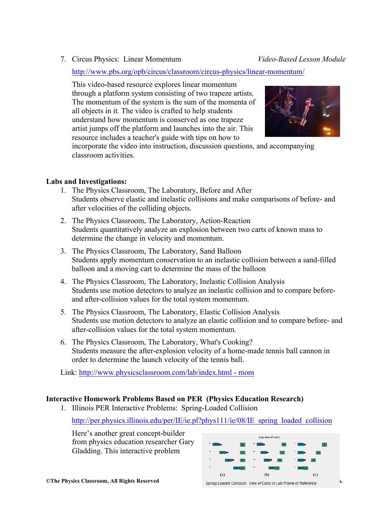7. Circus Physics: Linear Momentum *Video-Based Lesson Module*

http://www.pbs.org/opb/circus/classroom/circus-physics/linear-momentum/

This video-based resource explores linear momentum through a platform system consisting of two trapeze artists. The momentum of the system is the sum of the momenta of all objects in it. The video is crafted to help students understand how momentum is conserved as one trapeze artist jumps off the platform and launches into the air. This resource includes a teacher's guide with tips on how to



incorporate the video into instruction, discussion questions, and accompanying classroom activities.

# **Labs and Investigations:**

- 1. The Physics Classroom, The Laboratory, Before and After Students observe elastic and inelastic collisions and make comparisons of before- and after velocities of the colliding objects.
- 2. The Physics Classroom, The Laboratory, Action-Reaction Students quantitatively analyze an explosion between two carts of known mass to determine the change in velocity and momentum.
- 3. The Physics Classroom, The Laboratory, Sand Balloon Students apply momentum conservation to an inelastic collision between a sand-filled balloon and a moving cart to determine the mass of the balloon
- 4. The Physics Classroom, The Laboratory, Inelastic Collision Analysis Students use motion detectors to analyze an inelastic collision and to compare beforeand after-collision values for the total system momentum.
- 5. The Physics Classroom, The Laboratory, Elastic Collision Analysis Students use motion detectors to analyze an elastic collision and to compare before- and after-collision values for the total system momentum.
- 6. The Physics Classroom, The Laboratory, What's Cooking? Students measure the after-explosion velocity of a home-made tennis ball cannon in order to determine the launch velocity of the tennis ball.

Link: http://www.physicsclassroom.com/lab/index.html - mom

# **Interactive Homework Problems Based on PER (Physics Education Research)**

1. Illinois PER Interactive Problems: Spring-Loaded Collision

http://per.physics.illinois.edu/per/IE/ie.pl?phys111/ie/08/IE\_spring\_loaded\_collision

Here's another great concept-builder from physics education researcher Gary Gladding. This interactive problem

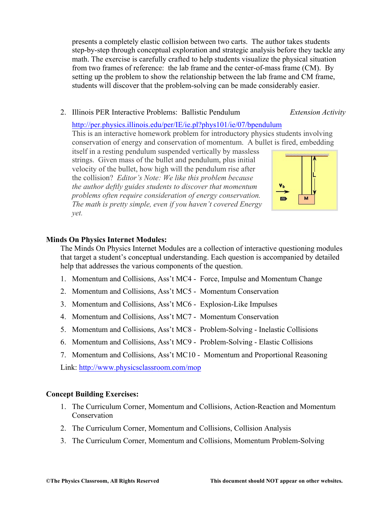presents a completely elastic collision between two carts. The author takes students step-by-step through conceptual exploration and strategic analysis before they tackle any math. The exercise is carefully crafted to help students visualize the physical situation from two frames of reference: the lab frame and the center-of-mass frame (CM). By setting up the problem to show the relationship between the lab frame and CM frame, students will discover that the problem-solving can be made considerably easier.

2. Illinois PER Interactive Problems: Ballistic Pendulum *Extension Activity*

#### http://per.physics.illinois.edu/per/IE/ie.pl?phys101/ie/07/bpendulum

This is an interactive homework problem for introductory physics students involving conservation of energy and conservation of momentum. A bullet is fired, embedding

itself in a resting pendulum suspended vertically by massless strings. Given mass of the bullet and pendulum, plus initial velocity of the bullet, how high will the pendulum rise after the collision? *Editor's Note: We like this problem because the author deftly guides students to discover that momentum problems often require consideration of energy conservation. The math is pretty simple, even if you haven't covered Energy yet.* 



# **Minds On Physics Internet Modules:**

The Minds On Physics Internet Modules are a collection of interactive questioning modules that target a student's conceptual understanding. Each question is accompanied by detailed help that addresses the various components of the question.

- 1. Momentum and Collisions, Ass't MC4 Force, Impulse and Momentum Change
- 2. Momentum and Collisions, Ass't MC5 Momentum Conservation
- 3. Momentum and Collisions, Ass't MC6 Explosion-Like Impulses
- 4. Momentum and Collisions, Ass't MC7 Momentum Conservation
- 5. Momentum and Collisions, Ass't MC8 Problem-Solving Inelastic Collisions
- 6. Momentum and Collisions, Ass't MC9 Problem-Solving Elastic Collisions
- 7. Momentum and Collisions, Ass't MC10 Momentum and Proportional Reasoning

Link: http://www.physicsclassroom.com/mop

### **Concept Building Exercises:**

- 1. The Curriculum Corner, Momentum and Collisions, Action-Reaction and Momentum Conservation
- 2. The Curriculum Corner, Momentum and Collisions, Collision Analysis
- 3. The Curriculum Corner, Momentum and Collisions, Momentum Problem-Solving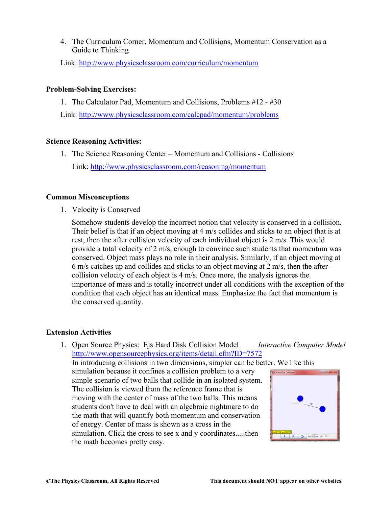4. The Curriculum Corner, Momentum and Collisions, Momentum Conservation as a Guide to Thinking

Link: http://www.physicsclassroom.com/curriculum/momentum

#### **Problem-Solving Exercises:**

1. The Calculator Pad, Momentum and Collisions, Problems #12 - #30 Link: http://www.physicsclassroom.com/calcpad/momentum/problems

### **Science Reasoning Activities:**

1. The Science Reasoning Center – Momentum and Collisions - Collisions Link: http://www.physicsclassroom.com/reasoning/momentum

#### **Common Misconceptions**

1. Velocity is Conserved

Somehow students develop the incorrect notion that velocity is conserved in a collision. Their belief is that if an object moving at 4 m/s collides and sticks to an object that is at rest, then the after collision velocity of each individual object is 2 m/s. This would provide a total velocity of 2 m/s, enough to convince such students that momentum was conserved. Object mass plays no role in their analysis. Similarly, if an object moving at 6 m/s catches up and collides and sticks to an object moving at 2 m/s, then the aftercollision velocity of each object is 4 m/s. Once more, the analysis ignores the importance of mass and is totally incorrect under all conditions with the exception of the condition that each object has an identical mass. Emphasize the fact that momentum is the conserved quantity.

#### **Extension Activities**

1. Open Source Physics: Ejs Hard Disk Collision Model *Interactive Computer Model* http://www.opensourcephysics.org/items/detail.cfm?ID=7572 In introducing collisions in two dimensions, simpler can be better. We like this simulation because it confines a collision problem to a very simple scenario of two balls that collide in an isolated system. The collision is viewed from the reference frame that is moving with the center of mass of the two balls. This means students don't have to deal with an algebraic nightmare to do the math that will quantify both momentum and conservation of energy. Center of mass is shown as a cross in the simulation. Click the cross to see x and y coordinates.....then the math becomes pretty easy.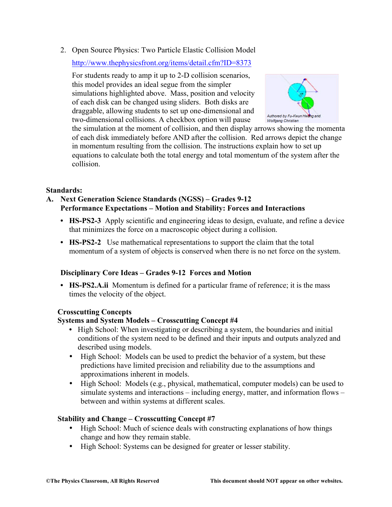2. Open Source Physics: Two Particle Elastic Collision Model

http://www.thephysicsfront.org/items/detail.cfm?ID=8373

For students ready to amp it up to 2-D collision scenarios, this model provides an ideal segue from the simpler simulations highlighted above. Mass, position and velocity of each disk can be changed using sliders. Both disks are draggable, allowing students to set up one-dimensional and two-dimensional collisions. A checkbox option will pause



the simulation at the moment of collision, and then display arrows showing the momenta of each disk immediately before AND after the collision. Red arrows depict the change in momentum resulting from the collision. The instructions explain how to set up equations to calculate both the total energy and total momentum of the system after the collision.

# **Standards:**

- **A. Next Generation Science Standards (NGSS) – Grades 9-12 Performance Expectations – Motion and Stability: Forces and Interactions**
	- **• HS-PS2-3** Apply scientific and engineering ideas to design, evaluate, and refine a device that minimizes the force on a macroscopic object during a collision.
	- **• HS-PS2-2** Use mathematical representations to support the claim that the total momentum of a system of objects is conserved when there is no net force on the system.

#### **Disciplinary Core Ideas – Grades 9-12 Forces and Motion**

**• HS-PS2.A.ii** Momentum is defined for a particular frame of reference; it is the mass times the velocity of the object.

#### **Crosscutting Concepts**

# **Systems and System Models – Crosscutting Concept #4**

- High School: When investigating or describing a system, the boundaries and initial conditions of the system need to be defined and their inputs and outputs analyzed and described using models.
- High School: Models can be used to predict the behavior of a system, but these predictions have limited precision and reliability due to the assumptions and approximations inherent in models.
- High School: Models (e.g., physical, mathematical, computer models) can be used to simulate systems and interactions – including energy, matter, and information flows – between and within systems at different scales.

# **Stability and Change – Crosscutting Concept #7**

- High School: Much of science deals with constructing explanations of how things change and how they remain stable.
- High School: Systems can be designed for greater or lesser stability.